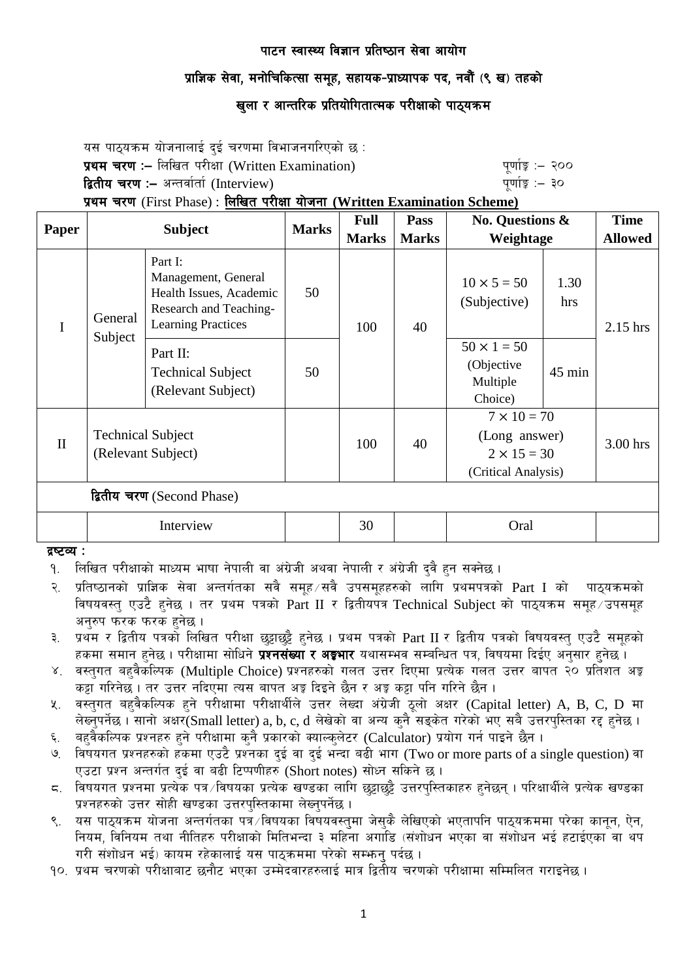# प्राज्ञिक सेवा, मनोचिकित्सा समुह, सहायक-प्राध्यापक पद, नवौं (९ ख) तहको

# खुला र आन्तरिक प्रतियोगितात्मक परीक्षाको पाठ्यक्र**म**

यस पाठयक्रम योजनालाई दई चरणमा विभाजनगरिएको छ : प्रथम चरण :- लिखित परीक्षा (Written Examination) x 200 पूर्णा कू :- २०० द्वितीय चरण :– अन्तर्वार्ता (Interview) katalactic metal metal metal metal wind wind  $q$ र्णाङ्क :– ३०

प्रथम चरण (First Phase) : लिखित परीक्षा योजना (Written Examination Scheme)

|                            | <b>Subject</b>                                 |                                                                                                                  | <b>Marks</b> | <b>Full</b>  | Pass         | <b>No. Questions &amp;</b>                                                       |             | <b>Time</b>    |
|----------------------------|------------------------------------------------|------------------------------------------------------------------------------------------------------------------|--------------|--------------|--------------|----------------------------------------------------------------------------------|-------------|----------------|
| Paper                      |                                                |                                                                                                                  |              | <b>Marks</b> | <b>Marks</b> | Weightage                                                                        |             | <b>Allowed</b> |
| I                          | General<br>Subject                             | Part I:<br>Management, General<br>Health Issues, Academic<br>Research and Teaching-<br><b>Learning Practices</b> | 50           | 100          | 40           | $10 \times 5 = 50$<br>(Subjective)                                               | 1.30<br>hrs | $2.15$ hrs     |
|                            |                                                | Part II:<br><b>Technical Subject</b><br>(Relevant Subject)                                                       | 50           |              |              | $50 \times 1 = 50$<br>(Objective<br>Multiple<br>Choice)                          | $45$ min    |                |
| $\mathbf{I}$               | <b>Technical Subject</b><br>(Relevant Subject) |                                                                                                                  |              | 100          | 40           | $7 \times 10 = 70$<br>(Long answer)<br>$2 \times 15 = 30$<br>(Critical Analysis) |             | 3.00 hrs       |
| द्वितीय चरण (Second Phase) |                                                |                                                                                                                  |              |              |              |                                                                                  |             |                |
|                            | Interview                                      |                                                                                                                  |              | 30           |              | Oral                                                                             |             |                |

#### द्रष्टव्य<sub>ः</sub>

- <u>9. लिखित परीक्षाको माध्यम भाषा नेपाली वा अंग्रेजी अथवा नेपाली र अंग्रेजी दुवै हुन सक्नेछ ।</u>
- २. प्रतिष्ठानको प्राज्ञिक सेवा अन्तर्गतका सवै समूह सवै उपसमूहहरुको लागि प्रथमपत्रको Part I को पाठ्यक्रमको विषयवस्तु एउटै हुनेछ । तर प्रथम पत्रको Part II र द्वितीयपत्र Technical Subject को पाठ्यक्रम समुह उपसमुह अनुरुप फरक फरक हुनेछ ।
- ३. प्रथम र द्वितीय पत्रको लिखित परीक्षा छट्टाछट्टै हनेछ । प्रथम पत्रको Part II र द्वितीय पत्रको विषयवस्त् एउटै समूहको हकमा समान हुनेछ । परीक्षामा सोधिने **प्रश्नसंख्या र अङ्गभार** यथासम्भव सम्बन्धित पत्र, विषयमा दिईए अनुसार हुनेछ ।
- ४. वस्तुगत बहुवैकस्पिक (Multiple Choice) प्रश्नहरुको गलत उत्तर दिएमा प्रत्येक गलत उत्तर बापत २० प्रतिशत अङ्क कट्टा गरिनेछ । तर उत्तर नदिएमा त्यस बापत अङ्ग दिइने छैन र अङ्ग कट्टा पनि गरिने छैन ।
- $x_i$  वस्तुगत बहुवैकल्पिक हुने परीक्षामा परीक्षार्थीले उत्तर लेख्दा अंग्रेजी ठुलो अक्षर (Capital letter) A, B, C, D मा लेख्नपर्नेछ । सानो अक्षर $\widetilde{\mathsf{S}}$ mall letter) a, b, c, d लेखेको वा अन्य कनै सडकेत गरेको भए सबै उत्तरपस्तिका रद्द हनेछ ।
- ६. वहवैकल्पिक प्रश्नहरु हुने परीक्षामा कुनै प्रकारको क्याल्कुलेटर (Calculator) प्रयोग गर्न पाइने छैन ।
- ७. विषयगत प्रश्नहरुको हकमा एउटै प्रश्नका दुई वा दुई भन्दा बढी भाग (Two or more parts of a single question) वा एउटा प्रश्न अन्तर्गत दई वा बढी टिप्पणीहरु (Short notes) सोध्न सकिने छ।
- द. विषयगत प्रश्नमा प्रत्येक पत्र ∕विषयका प्रत्येक खण्डका लागि छुट्टाछुट्टै उत्तरपस्तिकाहरु हनेछन् । परिक्षार्थीले प्रत्येक खण्डका प्रश्नहरुको उत्तर सोही खण्डका उत्तरपस्तिकामा लेख्नुपर्नेछ ।
- ९. यस पाठयक्रम योजना अन्तर्गतका पत्र विषयका विषयवस्तुमा जेसकै लेखिएको भएतापनि पाठुयक्रममा परेका कानुन, ऐन, नियम, विनियम तथा नीतिहरु परीक्षाको मितिभन्दा ३ महिना अगाडि (संशोधन भएका वा संशोधन भई हटाईएका वा थप गरी संशोधन भई) कायम रहेकालाई यस पाठकममा परेको सम्भन पर्दछ ।
- <u>90. प्रथम चरणको परीक्षाबाट छनौट भएका उम्मेदवारहरुलाई मात्र द्वितीय चरणको परीक्षामा सम्मिलित गराइनेछ ।</u>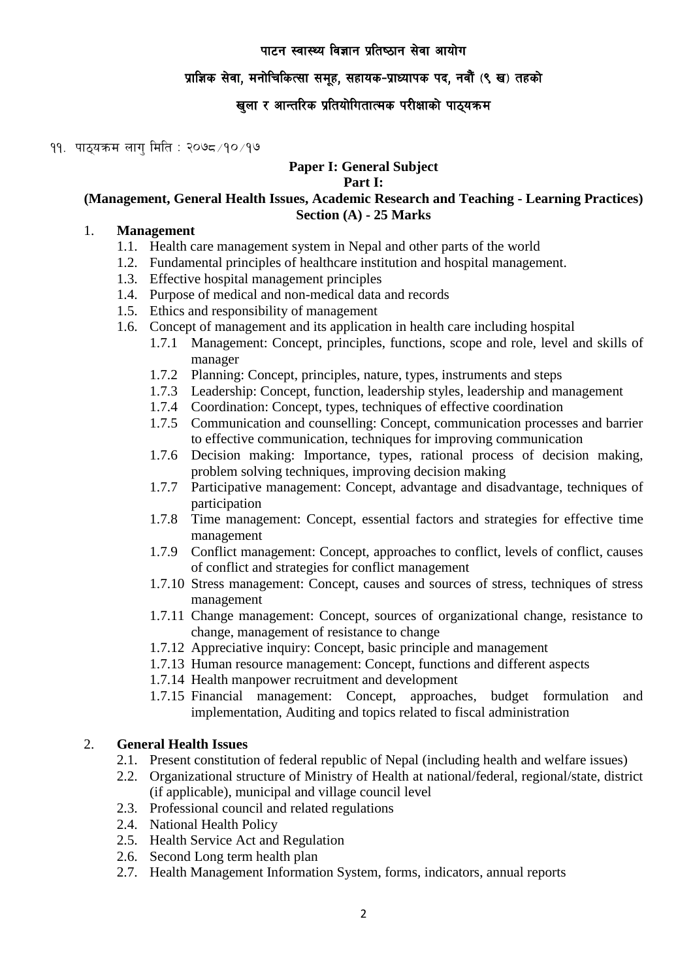# प्राज्ञिक सेवा, मनोचिकित्सा समुह, सहायक-प्राध्यापक पद, नवौं (९ ख) तहको

# खुला र आन्तरिक प्रतियोगितात्मक परीक्षाको पाठ्यक्रम

### $99.$  पाठयक्रम लाग मिति: २०७८/१०/१७

# **Paper I: General Subject**

#### **Part I:**

## **(Management, General Health Issues, Academic Research and Teaching - Learning Practices) Section (A) - 25 Marks**

#### 1. **Management**

- 1.1. Health care management system in Nepal and other parts of the world
- 1.2. Fundamental principles of healthcare institution and hospital management.
- 1.3. Effective hospital management principles
- 1.4. Purpose of medical and non-medical data and records
- 1.5. Ethics and responsibility of management
- 1.6. Concept of management and its application in health care including hospital
	- 1.7.1 Management: Concept, principles, functions, scope and role, level and skills of manager
	- 1.7.2 Planning: Concept, principles, nature, types, instruments and steps
	- 1.7.3 Leadership: Concept, function, leadership styles, leadership and management
	- 1.7.4 Coordination: Concept, types, techniques of effective coordination
	- 1.7.5 Communication and counselling: Concept, communication processes and barrier to effective communication, techniques for improving communication
	- 1.7.6 Decision making: Importance, types, rational process of decision making, problem solving techniques, improving decision making
	- 1.7.7 Participative management: Concept, advantage and disadvantage, techniques of participation
	- 1.7.8 Time management: Concept, essential factors and strategies for effective time management
	- 1.7.9 Conflict management: Concept, approaches to conflict, levels of conflict, causes of conflict and strategies for conflict management
	- 1.7.10 Stress management: Concept, causes and sources of stress, techniques of stress management
	- 1.7.11 Change management: Concept, sources of organizational change, resistance to change, management of resistance to change
	- 1.7.12 Appreciative inquiry: Concept, basic principle and management
	- 1.7.13 Human resource management: Concept, functions and different aspects
	- 1.7.14 Health manpower recruitment and development
	- 1.7.15 Financial management: Concept, approaches, budget formulation and implementation, Auditing and topics related to fiscal administration

## 2. **General Health Issues**

- 2.1. Present constitution of federal republic of Nepal (including health and welfare issues)
- 2.2. Organizational structure of Ministry of Health at national/federal, regional/state, district (if applicable), municipal and village council level
- 2.3. Professional council and related regulations
- 2.4. National Health Policy
- 2.5. Health Service Act and Regulation
- 2.6. Second Long term health plan
- 2.7. Health Management Information System, forms, indicators, annual reports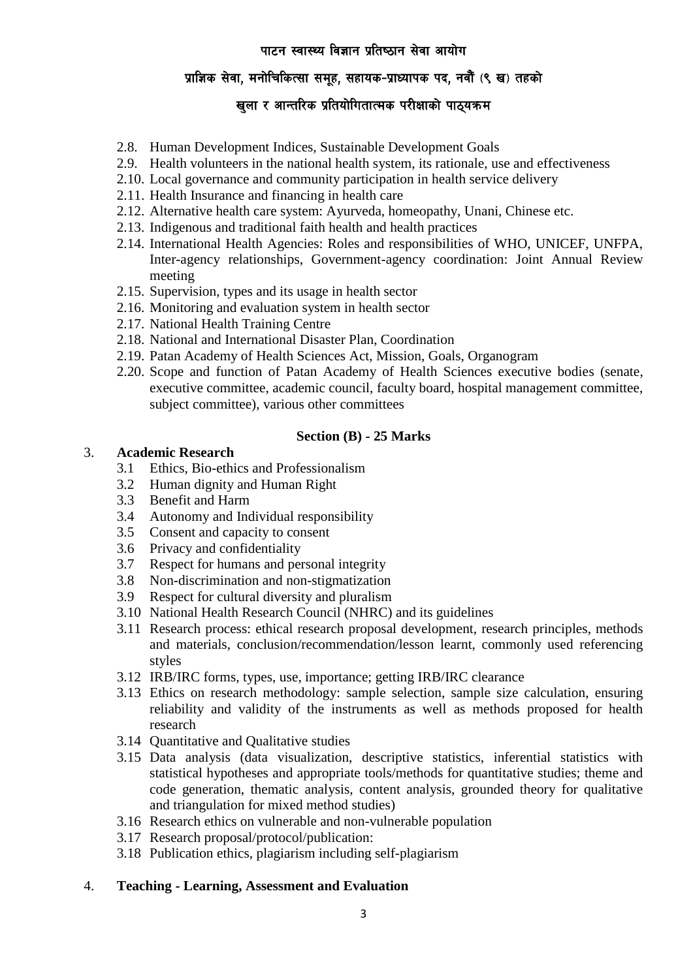# प्राज्ञिक सेवा, मनोचिकित्सा समुह, सहायक-प्राध्यापक पद, नवौं (९ ख) तहको

# खुला र आन्तरिक प्रतियोगितात्मक परीक्षाको पाठ्यक्रम

- 2.8. Human Development Indices, Sustainable Development Goals
- 2.9. Health volunteers in the national health system, its rationale, use and effectiveness
- 2.10. Local governance and community participation in health service delivery
- 2.11. Health Insurance and financing in health care
- 2.12. Alternative health care system: Ayurveda, homeopathy, Unani, Chinese etc.
- 2.13. Indigenous and traditional faith health and health practices
- 2.14. International Health Agencies: Roles and responsibilities of WHO, UNICEF, UNFPA, Inter-agency relationships, Government-agency coordination: Joint Annual Review meeting
- 2.15. Supervision, types and its usage in health sector
- 2.16. Monitoring and evaluation system in health sector
- 2.17. National Health Training Centre
- 2.18. National and International Disaster Plan, Coordination
- 2.19. Patan Academy of Health Sciences Act, Mission, Goals, Organogram
- 2.20. Scope and function of Patan Academy of Health Sciences executive bodies (senate, executive committee, academic council, faculty board, hospital management committee, subject committee), various other committees

## **Section (B) - 25 Marks**

# 3. **Academic Research**

- 3.1 Ethics, Bio-ethics and Professionalism
- 3.2 Human dignity and Human Right
- 3.3 Benefit and Harm
- 3.4 Autonomy and Individual responsibility
- 3.5 Consent and capacity to consent
- 3.6 Privacy and confidentiality
- 3.7 Respect for humans and personal integrity
- 3.8 Non-discrimination and non-stigmatization
- 3.9 Respect for cultural diversity and pluralism
- 3.10 National Health Research Council (NHRC) and its guidelines
- 3.11 Research process: ethical research proposal development, research principles, methods and materials, conclusion/recommendation/lesson learnt, commonly used referencing styles
- 3.12 IRB/IRC forms, types, use, importance; getting IRB/IRC clearance
- 3.13 Ethics on research methodology: sample selection, sample size calculation, ensuring reliability and validity of the instruments as well as methods proposed for health research
- 3.14 Quantitative and Qualitative studies
- 3.15 Data analysis (data visualization, descriptive statistics, inferential statistics with statistical hypotheses and appropriate tools/methods for quantitative studies; theme and code generation, thematic analysis, content analysis, grounded theory for qualitative and triangulation for mixed method studies)
- 3.16 Research ethics on vulnerable and non-vulnerable population
- 3.17 Research proposal/protocol/publication:
- 3.18 Publication ethics, plagiarism including self-plagiarism
- 4. **Teaching - Learning, Assessment and Evaluation**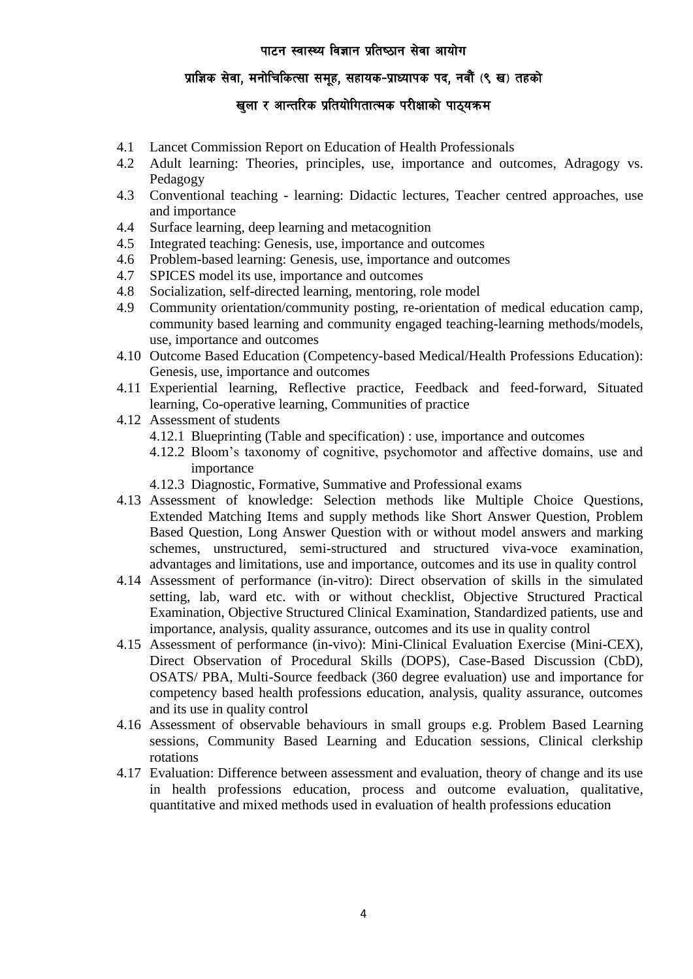# प्राज्ञिक सेवा, मनोचिकित्सा समुह, सहायक-प्राध्यापक पद, नवौं (९ ख) तहको

# खुला र आन्तरिक प्रतियोगितात्मक परीक्षाको पाठ्यक्रम

- 4.1 Lancet Commission Report on Education of Health Professionals
- 4.2 Adult learning: Theories, principles, use, importance and outcomes, Adragogy vs. Pedagogy
- 4.3 Conventional teaching learning: Didactic lectures, Teacher centred approaches, use and importance
- 4.4 Surface learning, deep learning and metacognition
- 4.5 Integrated teaching: Genesis, use, importance and outcomes
- 4.6 Problem-based learning: Genesis, use, importance and outcomes
- 4.7 SPICES model its use, importance and outcomes
- 4.8 Socialization, self-directed learning, mentoring, role model
- 4.9 Community orientation/community posting, re-orientation of medical education camp, community based learning and community engaged teaching-learning methods/models, use, importance and outcomes
- 4.10 Outcome Based Education (Competency-based Medical/Health Professions Education): Genesis, use, importance and outcomes
- 4.11 Experiential learning, Reflective practice, Feedback and feed-forward, Situated learning, Co-operative learning, Communities of practice
- 4.12 Assessment of students
	- 4.12.1 Blueprinting (Table and specification) : use, importance and outcomes
	- 4.12.2 Bloom's taxonomy of cognitive, psychomotor and affective domains, use and importance
	- 4.12.3 Diagnostic, Formative, Summative and Professional exams
- 4.13 Assessment of knowledge: Selection methods like Multiple Choice Questions, Extended Matching Items and supply methods like Short Answer Question, Problem Based Question, Long Answer Question with or without model answers and marking schemes, unstructured, semi-structured and structured viva-voce examination, advantages and limitations, use and importance, outcomes and its use in quality control
- 4.14 Assessment of performance (in-vitro): Direct observation of skills in the simulated setting, lab, ward etc. with or without checklist, Objective Structured Practical Examination, Objective Structured Clinical Examination, Standardized patients, use and importance, analysis, quality assurance, outcomes and its use in quality control
- 4.15 Assessment of performance (in-vivo): Mini-Clinical Evaluation Exercise (Mini-CEX), Direct Observation of Procedural Skills (DOPS), Case-Based Discussion (CbD), OSATS/ PBA, Multi-Source feedback (360 degree evaluation) use and importance for competency based health professions education, analysis, quality assurance, outcomes and its use in quality control
- 4.16 Assessment of observable behaviours in small groups e.g. Problem Based Learning sessions, Community Based Learning and Education sessions, Clinical clerkship rotations
- 4.17 Evaluation: Difference between assessment and evaluation, theory of change and its use in health professions education, process and outcome evaluation, qualitative, quantitative and mixed methods used in evaluation of health professions education